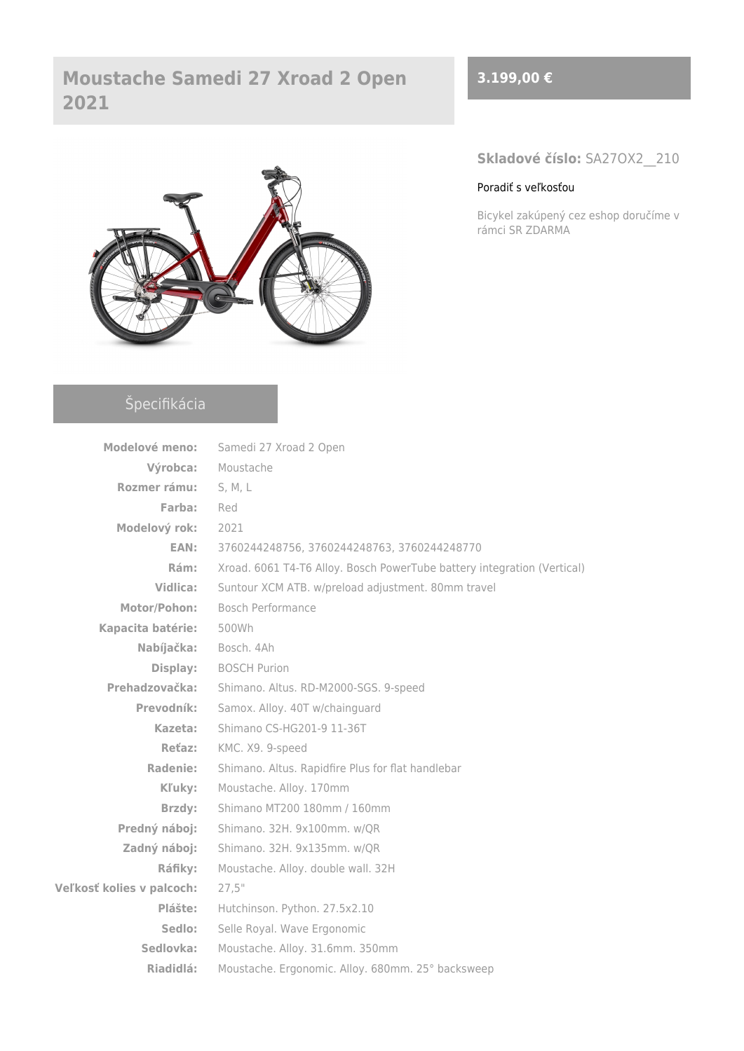## **Moustache Samedi 27 Xroad 2 Open 2021**



# Špecifikácia

| Modelové meno:            | Samedi 27 Xroad 2 Open                                                  |  |
|---------------------------|-------------------------------------------------------------------------|--|
| Výrobca:                  | Moustache                                                               |  |
| Rozmer rámu:              | S, M, L                                                                 |  |
| Farba:                    | Red                                                                     |  |
| Modelový rok:             | 2021                                                                    |  |
| EAN:                      | 3760244248756, 3760244248763, 3760244248770                             |  |
| Rám:                      | Xroad. 6061 T4-T6 Alloy. Bosch PowerTube battery integration (Vertical) |  |
| Vidlica:                  | Suntour XCM ATB. w/preload adjustment. 80mm travel                      |  |
| Motor/Pohon:              | Bosch Performance                                                       |  |
| Kapacita batérie:         | 500Wh                                                                   |  |
| Nabíjačka:                | Bosch. 4Ah                                                              |  |
| Display:                  | <b>BOSCH Purion</b>                                                     |  |
| Prehadzovačka:            | Shimano. Altus. RD-M2000-SGS. 9-speed                                   |  |
| Prevodník:                | Samox. Alloy. 40T w/chainguard                                          |  |
| Kazeta:                   | Shimano CS-HG201-9 11-36T                                               |  |
| Reťaz:                    | KMC. X9. 9-speed                                                        |  |
| Radenie:                  | Shimano. Altus. Rapidfire Plus for flat handlebar                       |  |
| Kľuky:                    | Moustache. Alloy. 170mm                                                 |  |
| Brzdy:                    | Shimano MT200 180mm / 160mm                                             |  |
| Predný náboj:             | Shimano. 32H. 9x100mm. w/QR                                             |  |
| Zadný náboj:              | Shimano. 32H. 9x135mm. w/QR                                             |  |
| Ráfiky:                   | Moustache. Alloy. double wall. 32H                                      |  |
| Veľkosť kolies v palcoch: | 27,5"                                                                   |  |
| Plášte:                   | Hutchinson. Python. 27.5x2.10                                           |  |
| Sedlo:                    | Selle Royal. Wave Ergonomic                                             |  |
| Sedlovka:                 | Moustache. Alloy. 31.6mm. 350mm                                         |  |
| Riadidlá:                 | Moustache. Ergonomic. Alloy. 680mm. 25° backsweep                       |  |

### **3.199,00 €**

**Skladové číslo:** SA27OX2\_\_210

#### [Poradiť s veľkosťou](https://ebajk.sk/wp-content/uploads/2021/02/Tabulka-velkosti-Moustache.pdf)

Bicykel zakúpený cez eshop doručíme v rámci SR ZDARMA